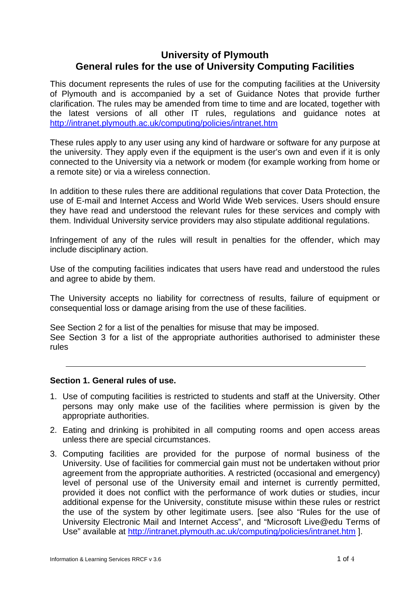# **University of Plymouth General rules for the use of University Computing Facilities**

This document represents the rules of use for the computing facilities at the University of Plymouth and is accompanied by a set of Guidance Notes that provide further clarification. The rules may be amended from time to time and are located, together with the latest versions of all other IT rules, regulations and guidance notes at http://intranet.plymouth.ac.uk/computing/policies/intranet.htm

These rules apply to any user using any kind of hardware or software for any purpose at the university. They apply even if the equipment is the user's own and even if it is only connected to the University via a network or modem (for example working from home or a remote site) or via a wireless connection.

In addition to these rules there are additional regulations that cover Data Protection, the use of E-mail and Internet Access and World Wide Web services. Users should ensure they have read and understood the relevant rules for these services and comply with them. Individual University service providers may also stipulate additional regulations.

Infringement of any of the rules will result in penalties for the offender, which may include disciplinary action.

Use of the computing facilities indicates that users have read and understood the rules and agree to abide by them.

The University accepts no liability for correctness of results, failure of equipment or consequential loss or damage arising from the use of these facilities.

See Section 2 for a list of the penalties for misuse that may be imposed. See Section 3 for a list of the appropriate authorities authorised to administer these rules

# **Section 1. General rules of use.**

- 1. Use of computing facilities is restricted to students and staff at the University. Other persons may only make use of the facilities where permission is given by the appropriate authorities.
- 2. Eating and drinking is prohibited in all computing rooms and open access areas unless there are special circumstances.
- 3. Computing facilities are provided for the purpose of normal business of the University. Use of facilities for commercial gain must not be undertaken without prior agreement from the appropriate authorities. A restricted (occasional and emergency) level of personal use of the University email and internet is currently permitted, provided it does not conflict with the performance of work duties or studies, incur additional expense for the University, constitute misuse within these rules or restrict the use of the system by other legitimate users. [see also "Rules for the use of University Electronic Mail and Internet Access", and "Microsoft Live@edu Terms of Use" available at http://intranet.plymouth.ac.uk/computing/policies/intranet.htm ].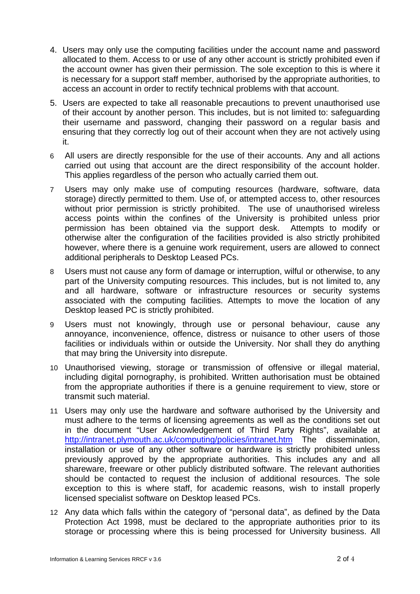- 4. Users may only use the computing facilities under the account name and password allocated to them. Access to or use of any other account is strictly prohibited even if the account owner has given their permission. The sole exception to this is where it is necessary for a support staff member, authorised by the appropriate authorities, to access an account in order to rectify technical problems with that account.
- 5. Users are expected to take all reasonable precautions to prevent unauthorised use of their account by another person. This includes, but is not limited to: safeguarding their username and password, changing their password on a regular basis and ensuring that they correctly log out of their account when they are not actively using it.
- 6 All users are directly responsible for the use of their accounts. Any and all actions carried out using that account are the direct responsibility of the account holder. This applies regardless of the person who actually carried them out.
- 7 Users may only make use of computing resources (hardware, software, data storage) directly permitted to them. Use of, or attempted access to, other resources without prior permission is strictly prohibited. The use of unauthorised wireless access points within the confines of the University is prohibited unless prior permission has been obtained via the support desk. Attempts to modify or otherwise alter the configuration of the facilities provided is also strictly prohibited however, where there is a genuine work requirement, users are allowed to connect additional peripherals to Desktop Leased PCs.
- 8 Users must not cause any form of damage or interruption, wilful or otherwise, to any part of the University computing resources. This includes, but is not limited to, any and all hardware, software or infrastructure resources or security systems associated with the computing facilities. Attempts to move the location of any Desktop leased PC is strictly prohibited.
- 9 Users must not knowingly, through use or personal behaviour, cause any annoyance, inconvenience, offence, distress or nuisance to other users of those facilities or individuals within or outside the University. Nor shall they do anything that may bring the University into disrepute.
- 10 Unauthorised viewing, storage or transmission of offensive or illegal material, including digital pornography, is prohibited. Written authorisation must be obtained from the appropriate authorities if there is a genuine requirement to view, store or transmit such material.
- 11 Users may only use the hardware and software authorised by the University and must adhere to the terms of licensing agreements as well as the conditions set out in the document "User Acknowledgement of Third Party Rights", available at http://intranet.plymouth.ac.uk/computing/policies/intranet.htm The dissemination, installation or use of any other software or hardware is strictly prohibited unless previously approved by the appropriate authorities. This includes any and all shareware, freeware or other publicly distributed software. The relevant authorities should be contacted to request the inclusion of additional resources. The sole exception to this is where staff, for academic reasons, wish to install properly licensed specialist software on Desktop leased PCs.
- 12 Any data which falls within the category of "personal data", as defined by the Data Protection Act 1998, must be declared to the appropriate authorities prior to its storage or processing where this is being processed for University business. All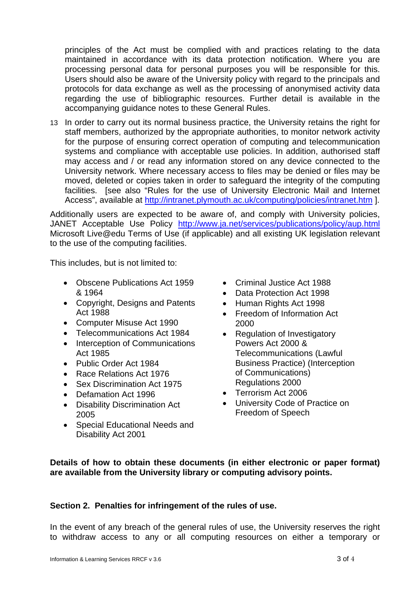principles of the Act must be complied with and practices relating to the data maintained in accordance with its data protection notification. Where you are processing personal data for personal purposes you will be responsible for this. Users should also be aware of the University policy with regard to the principals and protocols for data exchange as well as the processing of anonymised activity data regarding the use of bibliographic resources. Further detail is available in the accompanying guidance notes to these General Rules.

13 In order to carry out its normal business practice, the University retains the right for staff members, authorized by the appropriate authorities, to monitor network activity for the purpose of ensuring correct operation of computing and telecommunication systems and compliance with acceptable use policies. In addition, authorised staff may access and / or read any information stored on any device connected to the University network. Where necessary access to files may be denied or files may be moved, deleted or copies taken in order to safeguard the integrity of the computing facilities. [see also "Rules for the use of University Electronic Mail and Internet Access", available at http://intranet.plymouth.ac.uk/computing/policies/intranet.htm ].

Additionally users are expected to be aware of, and comply with University policies, JANET Acceptable Use Policy http://www.ja.net/services/publications/policy/aup.html Microsoft Live@edu Terms of Use (if applicable) and all existing UK legislation relevant to the use of the computing facilities.

This includes, but is not limited to:

- Obscene Publications Act 1959 & 1964
- Copyright, Designs and Patents Act 1988
- Computer Misuse Act 1990
- Telecommunications Act 1984
- Interception of Communications Act 1985
- Public Order Act 1984
- Race Relations Act 1976
- Sex Discrimination Act 1975
- Defamation Act 1996
- Disability Discrimination Act 2005
- Special Educational Needs and Disability Act 2001
- Criminal Justice Act 1988
- Data Protection Act 1998
- Human Rights Act 1998
- Freedom of Information Act 2000
- Regulation of Investigatory Powers Act 2000 & Telecommunications (Lawful Business Practice) (Interception of Communications) Regulations 2000
- Terrorism Act 2006
- University Code of Practice on Freedom of Speech

# **Details of how to obtain these documents (in either electronic or paper format) are available from the University library or computing advisory points.**

# **Section 2. Penalties for infringement of the rules of use.**

In the event of any breach of the general rules of use, the University reserves the right to withdraw access to any or all computing resources on either a temporary or